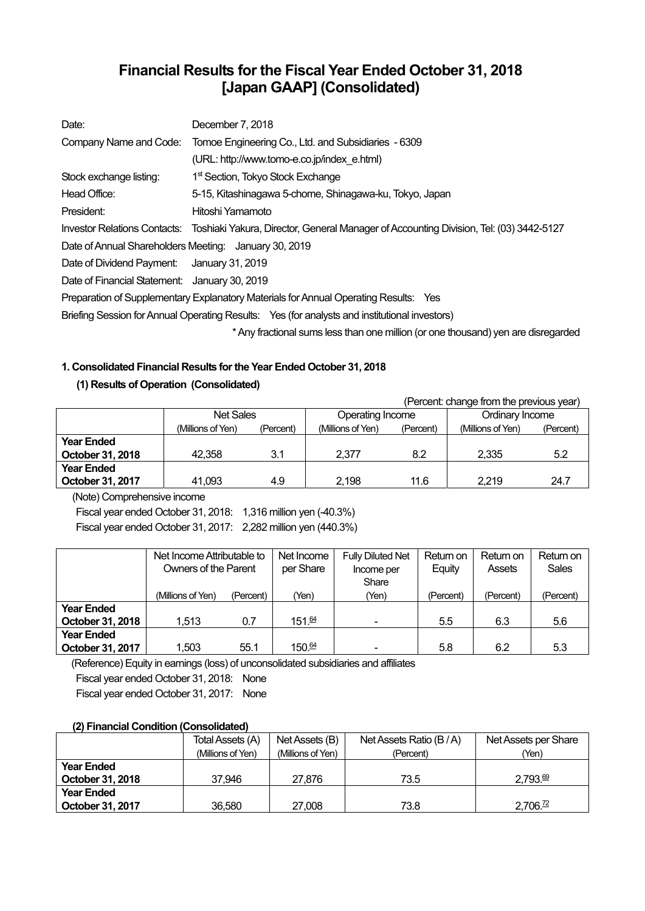# **Financial Results for the Fiscal Year Ended October 31, 2018 [Japan GAAP] (Consolidated)**

| Date:                                                 | December 7, 2018                                                                                                    |
|-------------------------------------------------------|---------------------------------------------------------------------------------------------------------------------|
| Company Name and Code:                                | Tomoe Engineering Co., Ltd. and Subsidiaries - 6309                                                                 |
|                                                       | (URL: http://www.tomo-e.co.jp/index e.html)                                                                         |
| Stock exchange listing:                               | 1 <sup>st</sup> Section, Tokyo Stock Exchange                                                                       |
| Head Office:                                          | 5-15, Kitashinagawa 5-chome, Shinagawa-ku, Tokyo, Japan                                                             |
| President:                                            | Hitoshi Yamamoto                                                                                                    |
|                                                       | Investor Relations Contacts: Toshiaki Yakura, Director, General Manager of Accounting Division, Tel: (03) 3442-5127 |
| Date of Annual Shareholders Meeting: January 30, 2019 |                                                                                                                     |
| Date of Dividend Payment: January 31, 2019            |                                                                                                                     |
| Date of Financial Statement: January 30, 2019         |                                                                                                                     |
|                                                       | Preparation of Supplementary Explanatory Materials for Annual Operating Results: Yes                                |
|                                                       | Briefing Session for Annual Operating Results: Yes (for analysts and institutional investors)                       |
|                                                       | * Any fractional sums less than one million (or one thousand) yen are disregarded                                   |

## **1. Consolidated Financial Results for the Year Ended October 31, 2018**

## **(1) Results of Operation (Consolidated)**

|                   | (Percent: change from the previous year) |           |                   |           |                   |           |
|-------------------|------------------------------------------|-----------|-------------------|-----------|-------------------|-----------|
|                   | <b>Net Sales</b>                         |           | Operating Income  |           | Ordinary Income   |           |
|                   | (Millions of Yen)                        | (Percent) | (Millions of Yen) | (Percent) | (Millions of Yen) | (Percent) |
| <b>Year Ended</b> |                                          |           |                   |           |                   |           |
| October 31, 2018  | 42.358                                   | 3.1       | 2.377             | 8.2       | 2.335             | 5.2       |
| <b>Year Ended</b> |                                          |           |                   |           |                   |           |
| October 31, 2017  | 41,093                                   | 4.9       | 2.198             | 11.6      | 2.219             | 24.7      |

(Note) Comprehensive income

Fiscal year ended October 31, 2018: 1,316 million yen (-40.3%) Fiscal year ended October 31, 2017: 2,282 million yen (440.3%)

|                   | Net Income Attributable to |           | Net Income        | <b>Fully Diluted Net</b> | Return on | Return on | Return on    |
|-------------------|----------------------------|-----------|-------------------|--------------------------|-----------|-----------|--------------|
|                   | Owners of the Parent       |           | per Share         | Income per               | Equity    | Assets    | <b>Sales</b> |
|                   |                            |           |                   | Share                    |           |           |              |
|                   | (Millions of Yen)          | (Percent) | (Yen)             | (Yen)                    | (Percent) | (Percent) | (Percent)    |
| <b>Year Ended</b> |                            |           |                   |                          |           |           |              |
| October 31, 2018  | 1.513                      | 0.7       | 151.64            |                          | 5.5       | 6.3       | 5.6          |
| <b>Year Ended</b> |                            |           |                   |                          |           |           |              |
| October 31, 2017  | 1,503                      | 55.1      | $150\frac{64}{3}$ |                          | 5.8       | 6.2       | 5.3          |

(Reference) Equity in earnings (loss) of unconsolidated subsidiaries and affiliates Fiscal year ended October 31, 2018: None Fiscal year ended October 31, 2017: None

### **(2) Financial Condition (Consolidated)**

|                   | Total Assets (A)  | Net Assets (B)    | Net Assets Ratio (B/A) | Net Assets per Share |
|-------------------|-------------------|-------------------|------------------------|----------------------|
|                   | (Millions of Yen) | (Millions of Yen) | (Percent)              | (Yen)                |
| <b>Year Ended</b> |                   |                   |                        |                      |
| October 31, 2018  | 37.946            | 27,876            | 73.5                   | $2.793 \frac{69}{6}$ |
| <b>Year Ended</b> |                   |                   |                        |                      |
| October 31, 2017  | 36.580            | 27,008            | 73.8                   | 2,706.72             |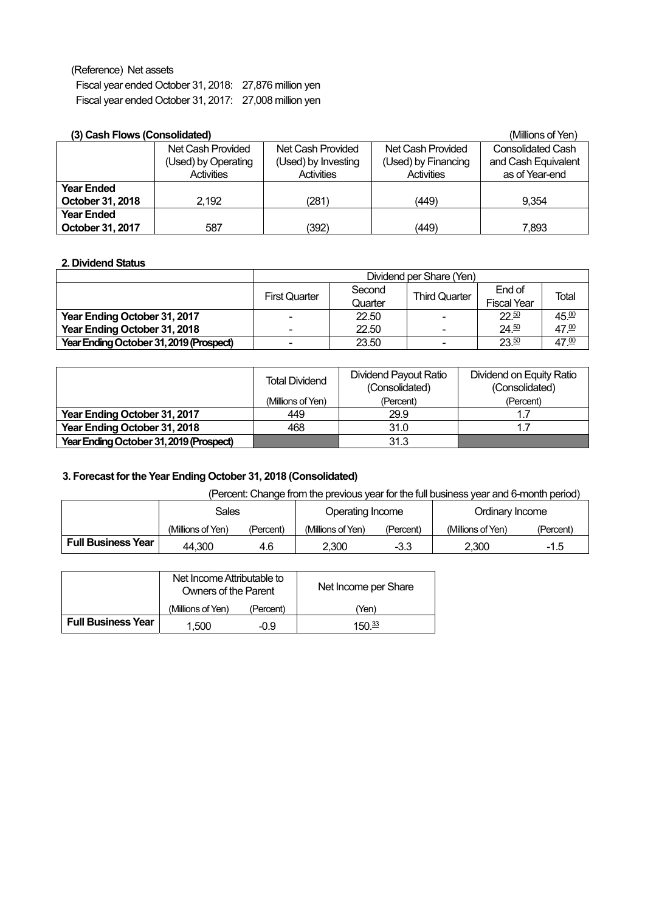(Reference) Net assets

Fiscal year ended October 31, 2018: 27,876 million yen Fiscal year ended October 31, 2017: 27,008 million yen

## **(3) Cash Flows (Consolidated)** (Millions of Yen)

| (J) Gash Flows (Gonsolidated) |                     |                     |                     | (IVIIIIIOHS OF TEH)      |
|-------------------------------|---------------------|---------------------|---------------------|--------------------------|
|                               | Net Cash Provided   | Net Cash Provided   | Net Cash Provided   | <b>Consolidated Cash</b> |
|                               | (Used) by Operating | (Used) by Investing | (Used) by Financing | and Cash Equivalent      |
|                               | <b>Activities</b>   | <b>Activities</b>   | <b>Activities</b>   | as of Year-end           |
| <b>Year Ended</b>             |                     |                     |                     |                          |
| October 31, 2018              | 2,192               | (281)               | (449)               | 9.354                    |
| <b>Year Ended</b>             |                     |                     |                     |                          |
| October 31, 2017              | 587                 | (392)               | (449)               | 7,893                    |

### **2. Dividend Status**

|                                         | Dividend per Share (Yen) |                   |                          |                              |       |  |
|-----------------------------------------|--------------------------|-------------------|--------------------------|------------------------------|-------|--|
|                                         | <b>First Quarter</b>     | Second<br>Quarter | <b>Third Quarter</b>     | End of<br><b>Fiscal Year</b> | Total |  |
| Year Ending October 31, 2017            |                          | 22.50             | ۰                        | $22^{50}$                    | 45.00 |  |
| Year Ending October 31, 2018            |                          | 22.50             | $\overline{\phantom{0}}$ | $24^{50}$                    | 47.00 |  |
| Year Ending October 31, 2019 (Prospect) |                          | 23.50             | $\blacksquare$           | 23.50                        | 47.00 |  |

|                                         | <b>Total Dividend</b> | Dividend Payout Ratio<br>(Consolidated) | Dividend on Equity Ratio<br>(Consolidated) |  |
|-----------------------------------------|-----------------------|-----------------------------------------|--------------------------------------------|--|
|                                         | (Millions of Yen)     | (Percent)                               | (Percent)                                  |  |
| Year Ending October 31, 2017            | 449                   | 29.9                                    | 1.7                                        |  |
| Year Ending October 31, 2018            | 468                   | 31.0                                    | 1.7                                        |  |
| Year Ending October 31, 2019 (Prospect) |                       | 31.3                                    |                                            |  |

# **3. Forecast for the Year Ending October 31, 2018 (Consolidated)**

| (Percent: Change from the previous year for the full business year and 6-month period) |  |  |  |
|----------------------------------------------------------------------------------------|--|--|--|
|                                                                                        |  |  |  |

|                           | Sales             |           | Operating Income  |           | Ordinarv Income   |               |
|---------------------------|-------------------|-----------|-------------------|-----------|-------------------|---------------|
|                           | (Millions of Yen) | (Percent) | (Millions of Yen) | (Percent) | (Millions of Yen) | (Percent)     |
| <b>Full Business Year</b> | 44.300            | 4.6       | 2.300             | -3.3      | 2.300             | 1 E<br>…ت. ا− |

|                           | Net Income Attributable to<br>Owners of the Parent |           | Net Income per Share |
|---------------------------|----------------------------------------------------|-----------|----------------------|
|                           | (Millions of Yen)                                  | (Percent) | (Yen)                |
| <b>Full Business Year</b> | 1.500                                              | -0.9      | 150 $\frac{33}{2}$   |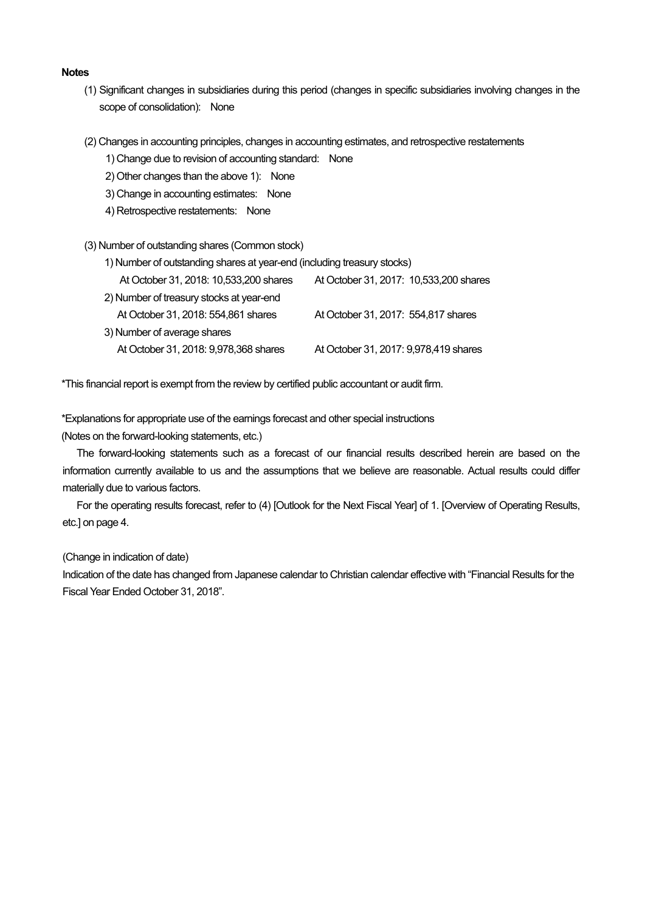#### **Notes**

- (1) Significant changes in subsidiaries during this period (changes in specific subsidiaries involving changes in the scope of consolidation): None
- (2) Changes in accounting principles, changes in accounting estimates, and retrospective restatements
	- 1) Change due to revision of accounting standard: None
	- 2) Other changes than the above 1): None
	- 3) Change in accounting estimates: None
	- 4) Retrospective restatements: None
- (3) Number of outstanding shares (Common stock)
	- 1) Number of outstanding shares at year-end (including treasury stocks)

| At October 31, 2018: 10,533,200 shares   | At October 31, 2017: 10,533, 200 shares |
|------------------------------------------|-----------------------------------------|
| 2) Number of treasury stocks at year-end |                                         |
| At October 31, 2018: 554,861 shares      | At October 31, 2017: 554,817 shares     |
| 3) Number of average shares              |                                         |
| At October 31, 2018: 9,978,368 shares    | At October 31, 2017: 9,978,419 shares   |

\*This financial report is exempt from the review by certified public accountant or audit firm.

\*Explanations for appropriate use of the earnings forecast and other special instructions

(Notes on the forward-looking statements, etc.)

The forward-looking statements such as a forecast of our financial results described herein are based on the information currently available to us and the assumptions that we believe are reasonable. Actual results could differ materially due to various factors.

For the operating results forecast, refer to (4) [Outlook for the Next Fiscal Year] of 1. [Overview of Operating Results, etc.] on page 4.

(Change in indication of date)

Indication of the date has changed from Japanese calendar to Christian calendar effective with "Financial Results for the Fiscal Year Ended October 31, 2018".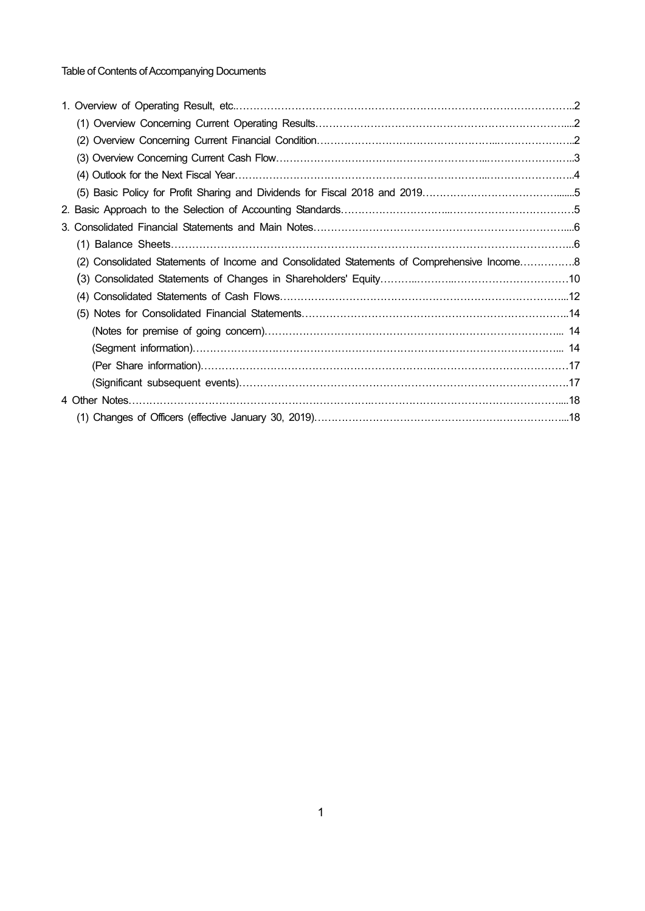Table of Contents of Accompanying Documents

| (2) Consolidated Statements of Income and Consolidated Statements of Comprehensive Income 8 |  |
|---------------------------------------------------------------------------------------------|--|
|                                                                                             |  |
|                                                                                             |  |
|                                                                                             |  |
|                                                                                             |  |
|                                                                                             |  |
|                                                                                             |  |
|                                                                                             |  |
|                                                                                             |  |
|                                                                                             |  |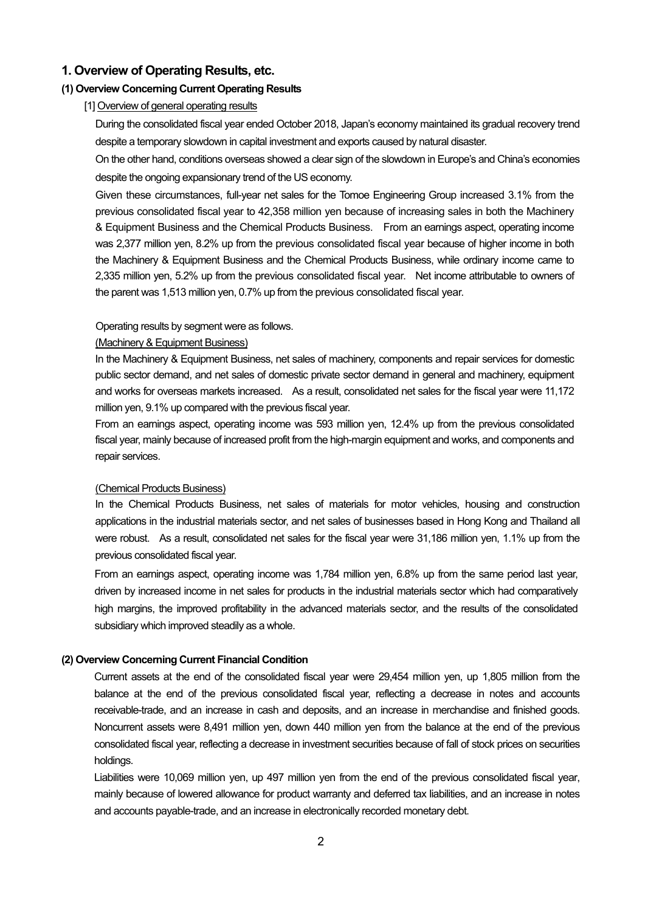## **1. Overview of Operating Results, etc.**

## **(1) Overview Concerning Current Operating Results**

[1] Overview of general operating results

During the consolidated fiscal year ended October 2018, Japan's economy maintained its gradual recovery trend despite a temporary slowdown in capital investment and exports caused by natural disaster.

On the other hand, conditions overseas showed a clear sign of the slowdown in Europe's and China's economies despite the ongoing expansionary trend of the US economy.

Given these circumstances, full-year net sales for the Tomoe Engineering Group increased 3.1% from the previous consolidated fiscal year to 42,358 million yen because of increasing sales in both the Machinery & Equipment Business and the Chemical Products Business. From an earnings aspect, operating income was 2,377 million yen, 8.2% up from the previous consolidated fiscal year because of higher income in both the Machinery & Equipment Business and the Chemical Products Business, while ordinary income came to 2,335 million yen, 5.2% up from the previous consolidated fiscal year. Net income attributable to owners of the parent was 1,513 million yen, 0.7% up from the previous consolidated fiscal year.

#### Operating results by segment were as follows.

#### (Machinery & Equipment Business)

In the Machinery & Equipment Business, net sales of machinery, components and repair services for domestic public sector demand, and net sales of domestic private sector demand in general and machinery, equipment and works for overseas markets increased. As a result, consolidated net sales for the fiscal year were 11,172 million yen, 9.1% up compared with the previous fiscal year.

From an earnings aspect, operating income was 593 million yen, 12.4% up from the previous consolidated fiscal year, mainly because of increased profit from the high-margin equipment and works, and components and repair services.

#### (Chemical Products Business)

In the Chemical Products Business, net sales of materials for motor vehicles, housing and construction applications in the industrial materials sector, and net sales of businesses based in Hong Kong and Thailand all were robust. As a result, consolidated net sales for the fiscal year were 31,186 million yen, 1.1% up from the previous consolidated fiscal year.

From an earnings aspect, operating income was 1,784 million yen, 6.8% up from the same period last year, driven by increased income in net sales for products in the industrial materials sector which had comparatively high margins, the improved profitability in the advanced materials sector, and the results of the consolidated subsidiary which improved steadily as a whole.

### **(2) Overview Concerning Current Financial Condition**

Current assets at the end of the consolidated fiscal year were 29,454 million yen, up 1,805 million from the balance at the end of the previous consolidated fiscal year, reflecting a decrease in notes and accounts receivable-trade, and an increase in cash and deposits, and an increase in merchandise and finished goods. Noncurrent assets were 8,491 million yen, down 440 million yen from the balance at the end of the previous consolidated fiscal year, reflecting a decrease in investment securities because of fall of stock prices on securities holdings.

Liabilities were 10,069 million yen, up 497 million yen from the end of the previous consolidated fiscal year, mainly because of lowered allowance for product warranty and deferred tax liabilities, and an increase in notes and accounts payable-trade, and an increase in electronically recorded monetary debt.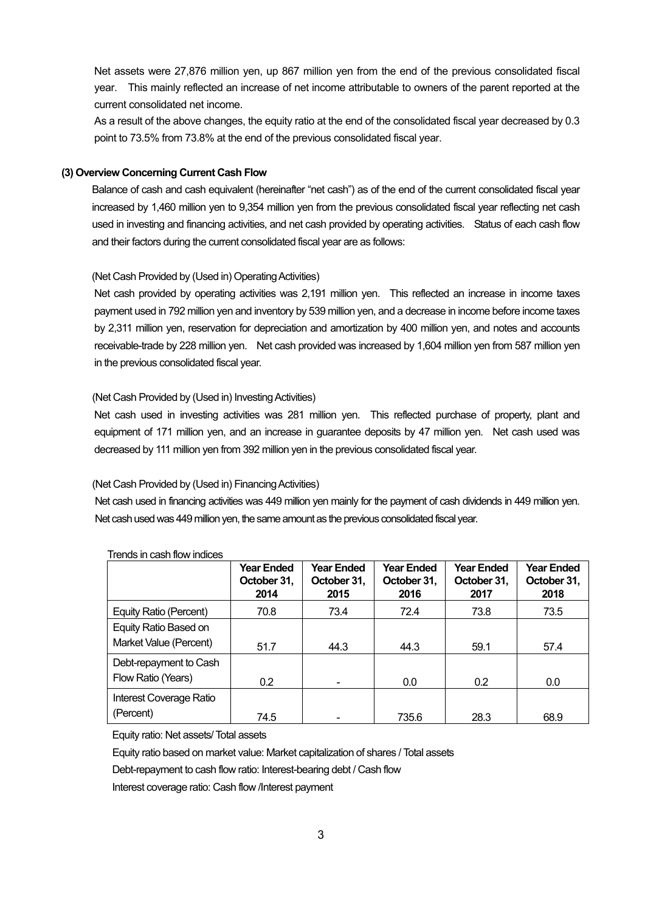Net assets were 27,876 million yen, up 867 million yen from the end of the previous consolidated fiscal year. This mainly reflected an increase of net income attributable to owners of the parent reported at the current consolidated net income.

As a result of the above changes, the equity ratio at the end of the consolidated fiscal year decreased by 0.3 point to 73.5% from 73.8% at the end of the previous consolidated fiscal year.

### **(3) Overview Concerning Current Cash Flow**

Balance of cash and cash equivalent (hereinafter "net cash") as of the end of the current consolidated fiscal year increased by 1,460 million yen to 9,354 million yen from the previous consolidated fiscal year reflecting net cash used in investing and financing activities, and net cash provided by operating activities. Status of each cash flow and their factors during the current consolidated fiscal year are as follows:

### (Net Cash Provided by (Used in) Operating Activities)

Net cash provided by operating activities was 2,191 million yen. This reflected an increase in income taxes payment used in 792 million yen and inventory by 539 million yen, and a decrease in income before income taxes by 2,311 million yen, reservation for depreciation and amortization by 400 million yen, and notes and accounts receivable-trade by 228 million yen. Net cash provided was increased by 1,604 million yen from 587 million yen in the previous consolidated fiscal year.

### (Net Cash Provided by (Used in) Investing Activities)

Net cash used in investing activities was 281 million yen. This reflected purchase of property, plant and equipment of 171 million yen, and an increase in guarantee deposits by 47 million yen. Net cash used was decreased by 111 million yen from 392 million yen in the previous consolidated fiscal year.

### (Net Cash Provided by (Used in) Financing Activities)

Net cash used in financing activities was 449 million yen mainly for the payment of cash dividends in 449 million yen. Net cash used was 449 million yen, the same amount as the previous consolidated fiscal year.

|                         | <b>Year Ended</b><br>October 31,<br>2014 | <b>Year Ended</b><br>October 31,<br>2015 | <b>Year Ended</b><br>October 31,<br>2016 | <b>Year Ended</b><br>October 31,<br>2017 | <b>Year Ended</b><br>October 31,<br>2018 |
|-------------------------|------------------------------------------|------------------------------------------|------------------------------------------|------------------------------------------|------------------------------------------|
| Equity Ratio (Percent)  | 70.8                                     | 73.4                                     | 72.4                                     | 73.8                                     | 73.5                                     |
| Equity Ratio Based on   |                                          |                                          |                                          |                                          |                                          |
| Market Value (Percent)  | 51.7                                     | 44.3                                     | 44.3                                     | 59.1                                     | 57.4                                     |
| Debt-repayment to Cash  |                                          |                                          |                                          |                                          |                                          |
| Flow Ratio (Years)      | 0.2                                      |                                          | 0.0                                      | 0.2                                      | 0.0                                      |
| Interest Coverage Ratio |                                          |                                          |                                          |                                          |                                          |
| (Percent)               | 74.5                                     |                                          | 735.6                                    | 28.3                                     | 68.9                                     |

#### Trends in cash flow indices

Equity ratio: Net assets/ Total assets

Equity ratio based on market value: Market capitalization of shares / Total assets

Debt-repayment to cash flow ratio: Interest-bearing debt / Cash flow

Interest coverage ratio: Cash flow /Interest payment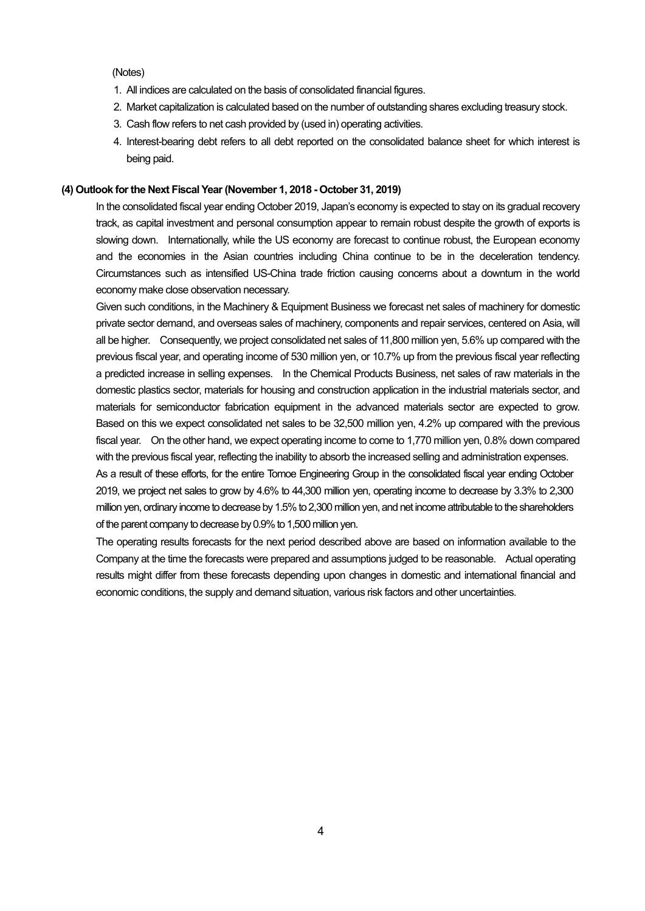(Notes)

- 1. All indices are calculated on the basis of consolidated financial figures.
- 2. Market capitalization is calculated based on the number of outstanding shares excluding treasury stock.
- 3. Cash flow refers to net cash provided by (used in) operating activities.
- 4. Interest-bearing debt refers to all debt reported on the consolidated balance sheet for which interest is being paid.

### **(4) Outlook for the Next Fiscal Year (November 1, 2018 - October 31, 2019)**

In the consolidated fiscal year ending October 2019, Japan's economy is expected to stay on its gradual recovery track, as capital investment and personal consumption appear to remain robust despite the growth of exports is slowing down. Internationally, while the US economy are forecast to continue robust, the European economy and the economies in the Asian countries including China continue to be in the deceleration tendency. Circumstances such as intensified US-China trade friction causing concerns about a downturn in the world economy make close observation necessary.

Given such conditions, in the Machinery & Equipment Business we forecast net sales of machinery for domestic private sector demand, and overseas sales of machinery, components and repair services, centered on Asia, will all be higher. Consequently, we project consolidated net sales of 11,800 million yen, 5.6% up compared with the previous fiscal year, and operating income of 530 million yen, or 10.7% up from the previous fiscal year reflecting a predicted increase in selling expenses. In the Chemical Products Business, net sales of raw materials in the domestic plastics sector, materials for housing and construction application in the industrial materials sector, and materials for semiconductor fabrication equipment in the advanced materials sector are expected to grow. Based on this we expect consolidated net sales to be 32,500 million yen, 4.2% up compared with the previous fiscal year. On the other hand, we expect operating income to come to 1,770 million yen, 0.8% down compared with the previous fiscal year, reflecting the inability to absorb the increased selling and administration expenses.

As a result of these efforts, for the entire Tomoe Engineering Group in the consolidated fiscal year ending October 2019, we project net sales to grow by 4.6% to 44,300 million yen, operating income to decrease by 3.3% to 2,300 million yen, ordinary income to decrease by 1.5% to 2,300 million yen, and net income attributable to the shareholders of the parent company to decrease by 0.9% to 1,500 million yen.

The operating results forecasts for the next period described above are based on information available to the Company at the time the forecasts were prepared and assumptions judged to be reasonable. Actual operating results might differ from these forecasts depending upon changes in domestic and international financial and economic conditions, the supply and demand situation, various risk factors and other uncertainties.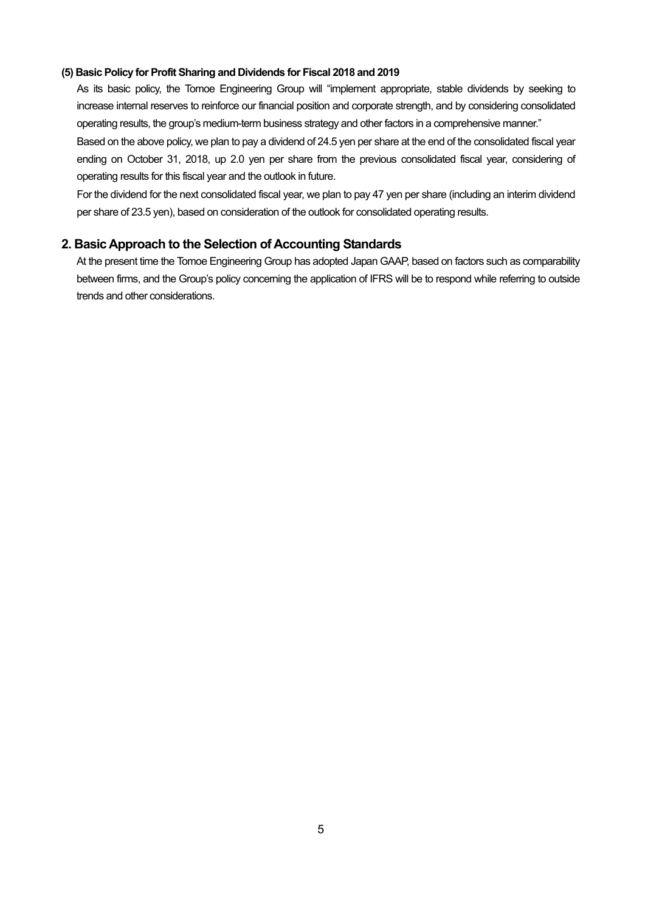### **(5) Basic Policy for Profit Sharing and Dividends for Fiscal 2018 and 2019**

As its basic policy, the Tomoe Engineering Group will "implement appropriate, stable dividends by seeking to increase internal reserves to reinforce our financial position and corporate strength, and by considering consolidated operating results, the group's medium-term business strategy and other factors in a comprehensive manner." Based on the above policy, we plan to pay a dividend of 24.5 yen per share at the end of the consolidated fiscal year

ending on October 31, 2018, up 2.0 yen per share from the previous consolidated fiscal year, considering of operating results for this fiscal year and the outlook in future.

For the dividend for the next consolidated fiscal year, we plan to pay 47 yen per share (including an interim dividend per share of 23.5 yen), based on consideration of the outlook for consolidated operating results.

## **2. Basic Approach to the Selection of Accounting Standards**

At the present time the Tomoe Engineering Group has adopted Japan GAAP, based on factors such as comparability between firms, and the Group's policy concerning the application of IFRS will be to respond while referring to outside trends and other considerations.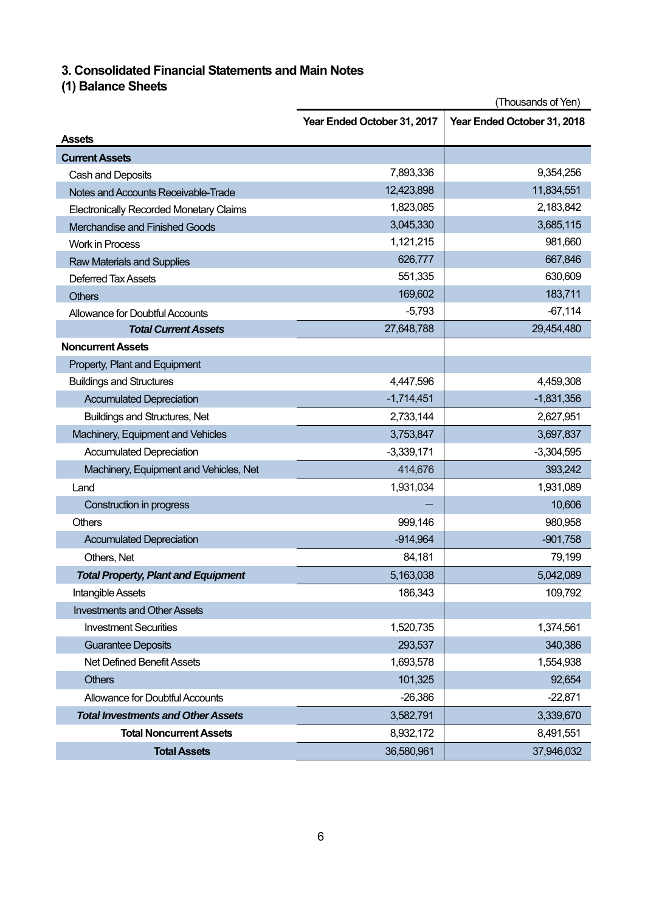# **3. Consolidated Financial Statements and Main Notes**

# **(1) Balance Sheets**

|                                                | (Thousands of Yen)          |                             |  |  |
|------------------------------------------------|-----------------------------|-----------------------------|--|--|
|                                                | Year Ended October 31, 2017 | Year Ended October 31, 2018 |  |  |
| <b>Assets</b>                                  |                             |                             |  |  |
| <b>Current Assets</b>                          |                             |                             |  |  |
| Cash and Deposits                              | 7,893,336                   | 9,354,256                   |  |  |
| Notes and Accounts Receivable-Trade            | 12,423,898                  | 11,834,551                  |  |  |
| <b>Electronically Recorded Monetary Claims</b> | 1,823,085                   | 2,183,842                   |  |  |
| Merchandise and Finished Goods                 | 3,045,330                   | 3,685,115                   |  |  |
| <b>Work in Process</b>                         | 1,121,215                   | 981,660                     |  |  |
| <b>Raw Materials and Supplies</b>              | 626,777                     | 667,846                     |  |  |
| <b>Deferred Tax Assets</b>                     | 551,335                     | 630,609                     |  |  |
| <b>Others</b>                                  | 169,602                     | 183,711                     |  |  |
| Allowance for Doubtful Accounts                | $-5,793$                    | $-67,114$                   |  |  |
| <b>Total Current Assets</b>                    | 27,648,788                  | 29,454,480                  |  |  |
| <b>Noncurrent Assets</b>                       |                             |                             |  |  |
| Property, Plant and Equipment                  |                             |                             |  |  |
| <b>Buildings and Structures</b>                | 4,447,596                   | 4,459,308                   |  |  |
| <b>Accumulated Depreciation</b>                | $-1,714,451$                | $-1,831,356$                |  |  |
| <b>Buildings and Structures, Net</b>           | 2,733,144                   | 2,627,951                   |  |  |
| Machinery, Equipment and Vehicles              | 3,753,847                   | 3,697,837                   |  |  |
| <b>Accumulated Depreciation</b>                | $-3,339,171$                | $-3,304,595$                |  |  |
| Machinery, Equipment and Vehicles, Net         | 414,676                     | 393,242                     |  |  |
| Land                                           | 1,931,034                   | 1,931,089                   |  |  |
| Construction in progress                       |                             | 10,606                      |  |  |
| Others                                         | 999,146                     | 980,958                     |  |  |
| <b>Accumulated Depreciation</b>                | $-914,964$                  | $-901,758$                  |  |  |
| Others, Net                                    | 84,181                      | 79,199                      |  |  |
| <b>Total Property, Plant and Equipment</b>     | 5,163,038                   | 5,042,089                   |  |  |
| Intangible Assets                              | 186,343                     | 109,792                     |  |  |
| <b>Investments and Other Assets</b>            |                             |                             |  |  |
| <b>Investment Securities</b>                   | 1,520,735                   | 1,374,561                   |  |  |
| <b>Guarantee Deposits</b>                      | 293,537                     | 340,386                     |  |  |
| Net Defined Benefit Assets                     | 1,693,578                   | 1,554,938                   |  |  |
| <b>Others</b>                                  | 101,325                     | 92,654                      |  |  |
| Allowance for Doubtful Accounts                | $-26,386$                   | $-22,871$                   |  |  |
| <b>Total Investments and Other Assets</b>      | 3,582,791                   | 3,339,670                   |  |  |
| <b>Total Noncurrent Assets</b>                 | 8,932,172                   | 8,491,551                   |  |  |
| <b>Total Assets</b>                            | 36,580,961                  | 37,946,032                  |  |  |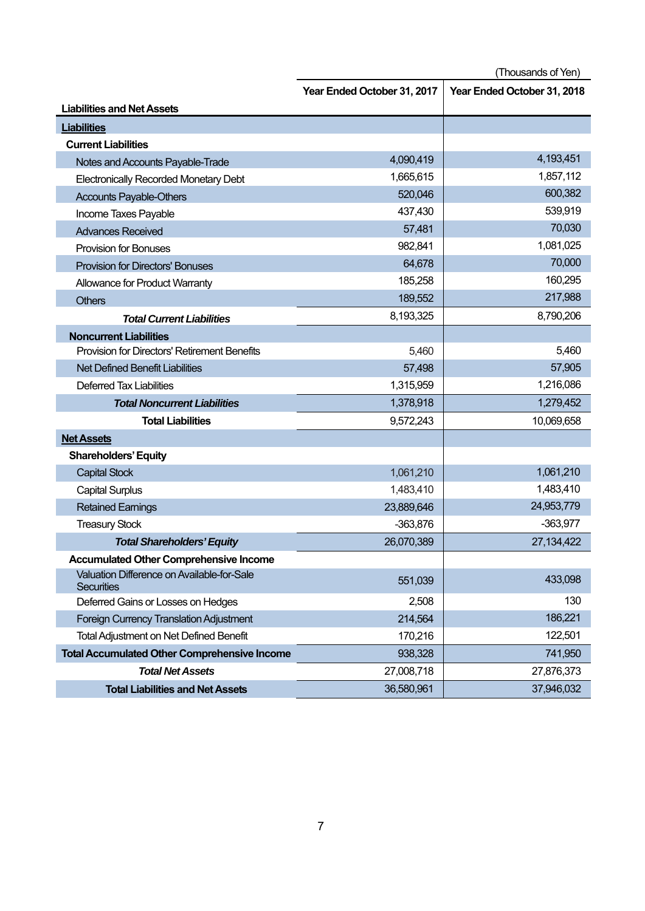(Thousands of Yen)

|                                                                 | Year Ended October 31, 2017 | Year Ended October 31, 2018 |
|-----------------------------------------------------------------|-----------------------------|-----------------------------|
| <b>Liabilities and Net Assets</b>                               |                             |                             |
| <b>Liabilities</b>                                              |                             |                             |
| <b>Current Liabilities</b>                                      |                             |                             |
| Notes and Accounts Payable-Trade                                | 4,090,419                   | 4,193,451                   |
| <b>Electronically Recorded Monetary Debt</b>                    | 1,665,615                   | 1,857,112                   |
| <b>Accounts Payable-Others</b>                                  | 520,046                     | 600,382                     |
| Income Taxes Payable                                            | 437,430                     | 539,919                     |
| <b>Advances Received</b>                                        | 57,481                      | 70,030                      |
| <b>Provision for Bonuses</b>                                    | 982,841                     | 1,081,025                   |
| <b>Provision for Directors' Bonuses</b>                         | 64,678                      | 70,000                      |
| Allowance for Product Warranty                                  | 185,258                     | 160,295                     |
| <b>Others</b>                                                   | 189,552                     | 217,988                     |
| <b>Total Current Liabilities</b>                                | 8,193,325                   | 8,790,206                   |
| <b>Noncurrent Liabilities</b>                                   |                             |                             |
| <b>Provision for Directors' Retirement Benefits</b>             | 5,460                       | 5,460                       |
| <b>Net Defined Benefit Liabilities</b>                          | 57,498                      | 57,905                      |
| <b>Deferred Tax Liabilities</b>                                 | 1,315,959                   | 1,216,086                   |
| <b>Total Noncurrent Liabilities</b>                             | 1,378,918                   | 1,279,452                   |
| <b>Total Liabilities</b>                                        | 9,572,243                   | 10,069,658                  |
| <b>Net Assets</b>                                               |                             |                             |
| <b>Shareholders' Equity</b>                                     |                             |                             |
| <b>Capital Stock</b>                                            | 1,061,210                   | 1,061,210                   |
| <b>Capital Surplus</b>                                          | 1,483,410                   | 1,483,410                   |
| <b>Retained Earnings</b>                                        | 23,889,646                  | 24,953,779                  |
| <b>Treasury Stock</b>                                           | $-363,876$                  | $-363,977$                  |
| <b>Total Shareholders' Equity</b>                               | 26,070,389                  | 27,134,422                  |
| <b>Accumulated Other Comprehensive Income</b>                   |                             |                             |
| Valuation Difference on Available-for-Sale<br><b>Securities</b> | 551,039                     | 433,098                     |
| Deferred Gains or Losses on Hedges                              | 2,508                       | 130                         |
| <b>Foreign Currency Translation Adjustment</b>                  | 214,564                     | 186,221                     |
| <b>Total Adjustment on Net Defined Benefit</b>                  | 170,216                     | 122,501                     |
| <b>Total Accumulated Other Comprehensive Income</b>             | 938,328                     | 741,950                     |
| <b>Total Net Assets</b>                                         | 27,008,718                  | 27,876,373                  |
| <b>Total Liabilities and Net Assets</b>                         | 36,580,961                  | 37,946,032                  |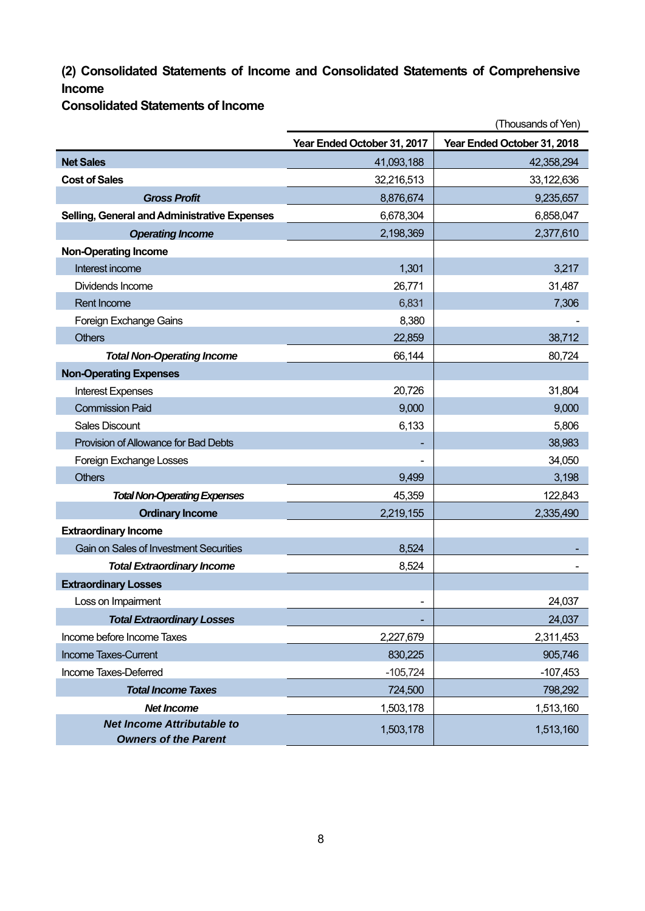# **(2) Consolidated Statements of Income and Consolidated Statements of Comprehensive Income**

**Consolidated Statements of Income** 

|                                                                  | (Thousands of Yen)          |                             |  |  |
|------------------------------------------------------------------|-----------------------------|-----------------------------|--|--|
|                                                                  | Year Ended October 31, 2017 | Year Ended October 31, 2018 |  |  |
| <b>Net Sales</b>                                                 | 41,093,188                  | 42,358,294                  |  |  |
| <b>Cost of Sales</b>                                             | 32,216,513                  | 33,122,636                  |  |  |
| <b>Gross Profit</b>                                              | 8,876,674                   | 9,235,657                   |  |  |
| Selling, General and Administrative Expenses                     | 6,678,304                   | 6,858,047                   |  |  |
| <b>Operating Income</b>                                          | 2,198,369                   | 2,377,610                   |  |  |
| <b>Non-Operating Income</b>                                      |                             |                             |  |  |
| Interest income                                                  | 1,301                       | 3,217                       |  |  |
| Dividends Income                                                 | 26,771                      | 31,487                      |  |  |
| <b>Rent Income</b>                                               | 6,831                       | 7,306                       |  |  |
| Foreign Exchange Gains                                           | 8,380                       |                             |  |  |
| <b>Others</b>                                                    | 22,859                      | 38,712                      |  |  |
| <b>Total Non-Operating Income</b>                                | 66,144                      | 80,724                      |  |  |
| <b>Non-Operating Expenses</b>                                    |                             |                             |  |  |
| <b>Interest Expenses</b>                                         | 20,726                      | 31,804                      |  |  |
| <b>Commission Paid</b>                                           | 9,000                       | 9,000                       |  |  |
| <b>Sales Discount</b>                                            | 6,133                       | 5,806                       |  |  |
| Provision of Allowance for Bad Debts                             |                             | 38,983                      |  |  |
| Foreign Exchange Losses                                          |                             | 34,050                      |  |  |
| <b>Others</b>                                                    | 9,499                       | 3,198                       |  |  |
| <b>Total Non-Operating Expenses</b>                              | 45,359                      | 122,843                     |  |  |
| <b>Ordinary Income</b>                                           | 2,219,155                   | 2,335,490                   |  |  |
| <b>Extraordinary Income</b>                                      |                             |                             |  |  |
| <b>Gain on Sales of Investment Securities</b>                    | 8,524                       |                             |  |  |
| <b>Total Extraordinary Income</b>                                | 8,524                       |                             |  |  |
| <b>Extraordinary Losses</b>                                      |                             |                             |  |  |
| Loss on Impairment                                               |                             | 24,037                      |  |  |
| <b>Total Extraordinary Losses</b>                                |                             | 24,037                      |  |  |
| Income before Income Taxes                                       | 2,227,679                   | 2,311,453                   |  |  |
| Income Taxes-Current                                             | 830,225                     | 905,746                     |  |  |
| Income Taxes-Deferred                                            | $-105,724$                  | $-107,453$                  |  |  |
| <b>Total Income Taxes</b>                                        | 724,500                     | 798,292                     |  |  |
| <b>Net Income</b>                                                | 1,503,178                   | 1,513,160                   |  |  |
| <b>Net Income Attributable to</b><br><b>Owners of the Parent</b> | 1,503,178                   | 1,513,160                   |  |  |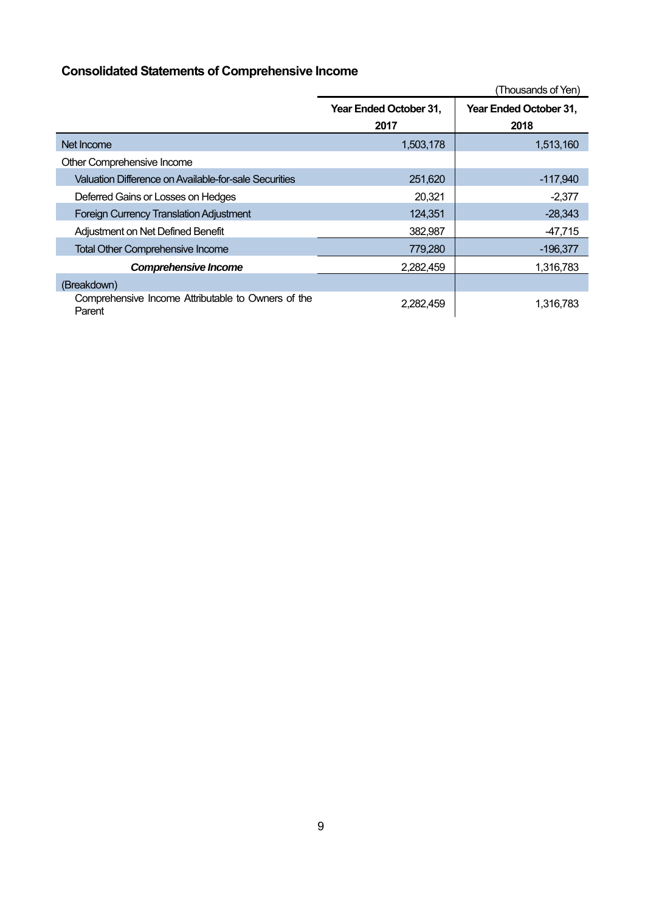# **Consolidated Statements of Comprehensive Income**

|                                                              | (Thousands of Yen)             |                                |  |  |  |
|--------------------------------------------------------------|--------------------------------|--------------------------------|--|--|--|
|                                                              | Year Ended October 31,<br>2017 | Year Ended October 31,<br>2018 |  |  |  |
| Net Income                                                   | 1,503,178                      | 1,513,160                      |  |  |  |
| Other Comprehensive Income                                   |                                |                                |  |  |  |
| Valuation Difference on Available-for-sale Securities        | 251,620                        | $-117,940$                     |  |  |  |
| Deferred Gains or Losses on Hedges                           | 20,321                         | $-2,377$                       |  |  |  |
| <b>Foreign Currency Translation Adjustment</b>               | 124,351                        | $-28,343$                      |  |  |  |
| Adjustment on Net Defined Benefit                            | 382,987                        | $-47,715$                      |  |  |  |
| <b>Total Other Comprehensive Income</b>                      | 779,280                        | $-196,377$                     |  |  |  |
| <b>Comprehensive Income</b>                                  | 2,282,459                      | 1,316,783                      |  |  |  |
| (Breakdown)                                                  |                                |                                |  |  |  |
| Comprehensive Income Attributable to Owners of the<br>Parent | 2,282,459                      | 1,316,783                      |  |  |  |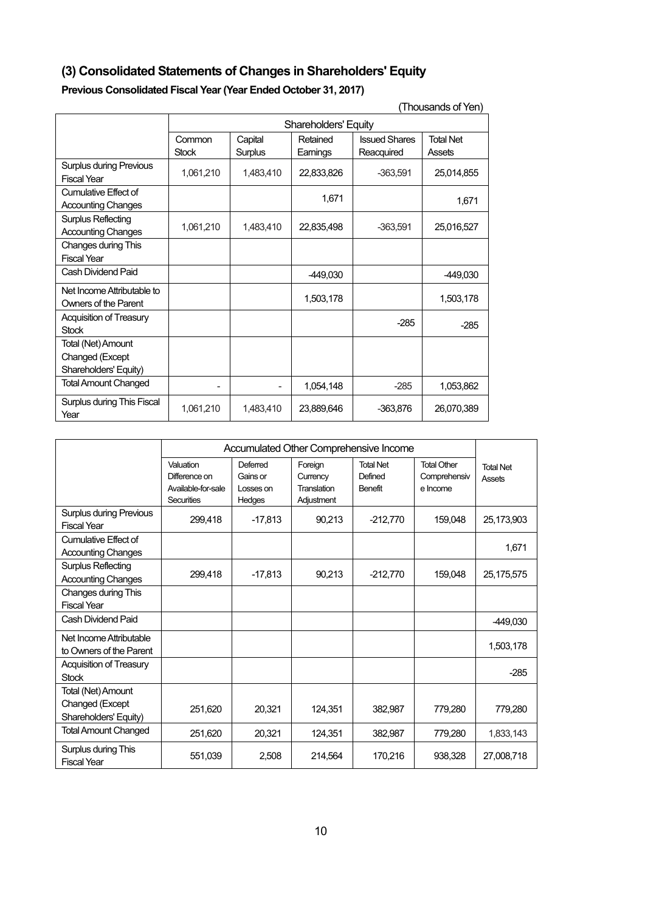# **(3) Consolidated Statements of Changes in Shareholders' Equity**

# **Previous Consolidated Fiscal Year (Year Ended October 31, 2017)**

| (Thousands of Yen)                                             |                             |                          |                      |                                    |                            |  |
|----------------------------------------------------------------|-----------------------------|--------------------------|----------------------|------------------------------------|----------------------------|--|
|                                                                | <b>Shareholders' Equity</b> |                          |                      |                                    |                            |  |
|                                                                | Common<br><b>Stock</b>      | Capital<br>Surplus       | Retained<br>Earnings | <b>Issued Shares</b><br>Reacquired | <b>Total Net</b><br>Assets |  |
| <b>Surplus during Previous</b><br><b>Fiscal Year</b>           | 1,061,210                   | 1,483,410                | 22,833,826           | $-363,591$                         | 25,014,855                 |  |
| Cumulative Effect of<br><b>Accounting Changes</b>              |                             |                          | 1,671                |                                    | 1,671                      |  |
| <b>Surplus Reflecting</b><br><b>Accounting Changes</b>         | 1,061,210                   | 1,483,410                | 22,835,498           | $-363,591$                         | 25,016,527                 |  |
| Changes during This<br><b>Fiscal Year</b>                      |                             |                          |                      |                                    |                            |  |
| Cash Dividend Paid                                             |                             |                          | -449,030             |                                    | -449,030                   |  |
| Net Income Attributable to<br>Owners of the Parent             |                             |                          | 1,503,178            |                                    | 1,503,178                  |  |
| <b>Acquisition of Treasury</b><br><b>Stock</b>                 |                             |                          |                      | $-285$                             | $-285$                     |  |
| Total (Net) Amount<br>Changed (Except<br>Shareholders' Equity) |                             |                          |                      |                                    |                            |  |
| <b>Total Amount Changed</b>                                    |                             | $\overline{\phantom{a}}$ | 1,054,148            | $-285$                             | 1,053,862                  |  |
| Surplus during This Fiscal<br>Year                             | 1,061,210                   | 1.483.410                | 23,889,646           | $-363.876$                         | 26,070,389                 |  |

|                                                                | Accumulated Other Comprehensive Income                         |                                             |                                                  |                                               |                                                |                            |
|----------------------------------------------------------------|----------------------------------------------------------------|---------------------------------------------|--------------------------------------------------|-----------------------------------------------|------------------------------------------------|----------------------------|
|                                                                | Valuation<br>Difference on<br>Available-for-sale<br>Securities | Deferred<br>Gains or<br>Losses on<br>Hedges | Foreign<br>Currency<br>Translation<br>Adjustment | <b>Total Net</b><br>Defined<br><b>Benefit</b> | <b>Total Other</b><br>Comprehensiv<br>e Income | <b>Total Net</b><br>Assets |
| <b>Surplus during Previous</b><br><b>Fiscal Year</b>           | 299,418                                                        | $-17,813$                                   | 90,213                                           | $-212,770$                                    | 159,048                                        | 25,173,903                 |
| Cumulative Effect of<br><b>Accounting Changes</b>              |                                                                |                                             |                                                  |                                               |                                                | 1,671                      |
| <b>Surplus Reflecting</b><br><b>Accounting Changes</b>         | 299,418                                                        | $-17,813$                                   | 90,213                                           | $-212,770$                                    | 159,048                                        | 25,175,575                 |
| Changes during This<br><b>Fiscal Year</b>                      |                                                                |                                             |                                                  |                                               |                                                |                            |
| Cash Dividend Paid                                             |                                                                |                                             |                                                  |                                               |                                                | -449,030                   |
| Net Income Attributable<br>to Owners of the Parent             |                                                                |                                             |                                                  |                                               |                                                | 1,503,178                  |
| <b>Acquisition of Treasury</b><br><b>Stock</b>                 |                                                                |                                             |                                                  |                                               |                                                | $-285$                     |
| Total (Net) Amount<br>Changed (Except<br>Shareholders' Equity) | 251,620                                                        | 20,321                                      | 124,351                                          | 382,987                                       | 779,280                                        | 779,280                    |
| <b>Total Amount Changed</b>                                    | 251,620                                                        | 20,321                                      | 124,351                                          | 382,987                                       | 779,280                                        | 1,833,143                  |
| Surplus during This<br><b>Fiscal Year</b>                      | 551.039                                                        | 2.508                                       | 214.564                                          | 170.216                                       | 938.328                                        | 27,008,718                 |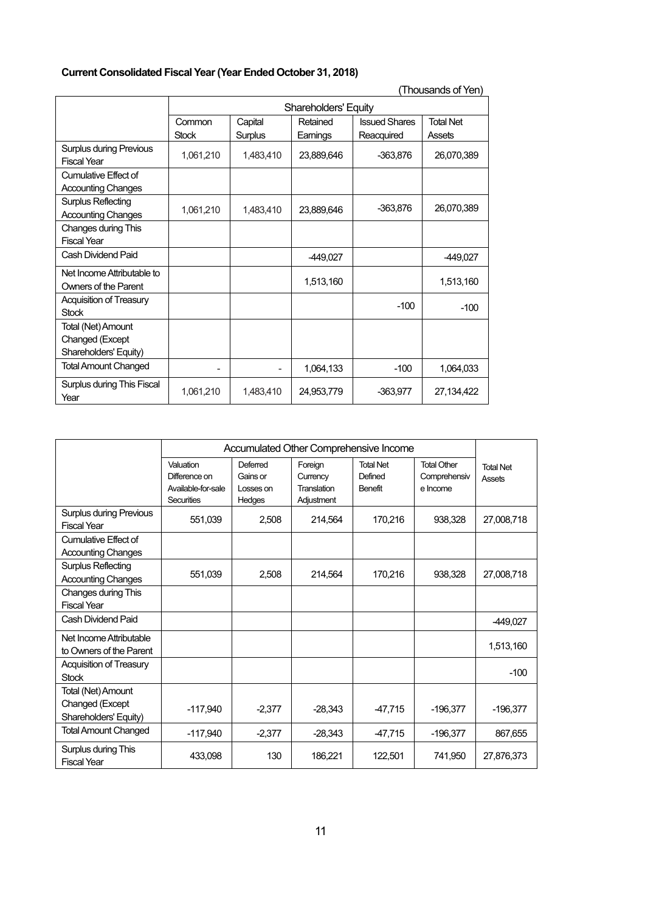# **Current Consolidated Fiscal Year (Year Ended October 31, 2018)**

| (Thousands of Yen                                              |                                                                                                            |                             |            |            |                            |  |  |  |
|----------------------------------------------------------------|------------------------------------------------------------------------------------------------------------|-----------------------------|------------|------------|----------------------------|--|--|--|
|                                                                |                                                                                                            | <b>Shareholders' Equity</b> |            |            |                            |  |  |  |
|                                                                | <b>Issued Shares</b><br>Common<br>Retained<br>Capital<br><b>Stock</b><br>Surplus<br>Earnings<br>Reacquired |                             |            |            | <b>Total Net</b><br>Assets |  |  |  |
| <b>Surplus during Previous</b><br><b>Fiscal Year</b>           | 1,061,210                                                                                                  | 1,483,410                   | 23,889,646 | $-363,876$ | 26,070,389                 |  |  |  |
| Cumulative Effect of<br><b>Accounting Changes</b>              |                                                                                                            |                             |            |            |                            |  |  |  |
| Surplus Reflecting<br><b>Accounting Changes</b>                | 1,061,210                                                                                                  | 1,483,410                   | 23,889,646 | -363,876   | 26,070,389                 |  |  |  |
| Changes during This<br><b>Fiscal Year</b>                      |                                                                                                            |                             |            |            |                            |  |  |  |
| Cash Dividend Paid                                             |                                                                                                            |                             | -449,027   |            | -449,027                   |  |  |  |
| Net Income Attributable to<br><b>Owners of the Parent</b>      |                                                                                                            |                             | 1,513,160  |            | 1,513,160                  |  |  |  |
| Acquisition of Treasury<br><b>Stock</b>                        |                                                                                                            |                             |            | $-100$     | $-100$                     |  |  |  |
| Total (Net) Amount<br>Changed (Except<br>Shareholders' Equity) |                                                                                                            |                             |            |            |                            |  |  |  |
| <b>Total Amount Changed</b>                                    |                                                                                                            |                             | 1.064.133  | $-100$     | 1.064.033                  |  |  |  |
| Surplus during This Fiscal<br>Year                             | 1,061,210                                                                                                  | 1,483,410                   | 24,953,779 | $-363.977$ | 27,134,422                 |  |  |  |

|                                                                | Accumulated Other Comprehensive Income                                |                                             |                                                  |                                        |                                                |                            |
|----------------------------------------------------------------|-----------------------------------------------------------------------|---------------------------------------------|--------------------------------------------------|----------------------------------------|------------------------------------------------|----------------------------|
|                                                                | Valuation<br>Difference on<br>Available-for-sale<br><b>Securities</b> | Deferred<br>Gains or<br>Losses on<br>Hedges | Foreign<br>Currency<br>Translation<br>Adjustment | <b>Total Net</b><br>Defined<br>Benefit | <b>Total Other</b><br>Comprehensiv<br>e Income | <b>Total Net</b><br>Assets |
| <b>Surplus during Previous</b><br><b>Fiscal Year</b>           | 551.039                                                               | 2,508                                       | 214,564                                          | 170,216                                | 938,328                                        | 27,008,718                 |
| Cumulative Effect of<br><b>Accounting Changes</b>              |                                                                       |                                             |                                                  |                                        |                                                |                            |
| <b>Surplus Reflecting</b><br><b>Accounting Changes</b>         | 551.039                                                               | 2.508                                       | 214.564                                          | 170,216                                | 938.328                                        | 27,008,718                 |
| Changes during This<br><b>Fiscal Year</b>                      |                                                                       |                                             |                                                  |                                        |                                                |                            |
| Cash Dividend Paid                                             |                                                                       |                                             |                                                  |                                        |                                                | -449,027                   |
| Net Income Attributable<br>to Owners of the Parent             |                                                                       |                                             |                                                  |                                        |                                                | 1,513,160                  |
| <b>Acquisition of Treasury</b><br><b>Stock</b>                 |                                                                       |                                             |                                                  |                                        |                                                | $-100$                     |
| Total (Net) Amount<br>Changed (Except<br>Shareholders' Equity) | $-117,940$                                                            | $-2.377$                                    | $-28,343$                                        | -47,715                                | $-196,377$                                     | $-196,377$                 |
| <b>Total Amount Changed</b>                                    | $-117,940$                                                            | $-2,377$                                    | $-28,343$                                        | -47,715                                | $-196,377$                                     | 867,655                    |
| Surplus during This<br><b>Fiscal Year</b>                      | 433,098                                                               | 130                                         | 186,221                                          | 122,501                                | 741,950                                        | 27,876,373                 |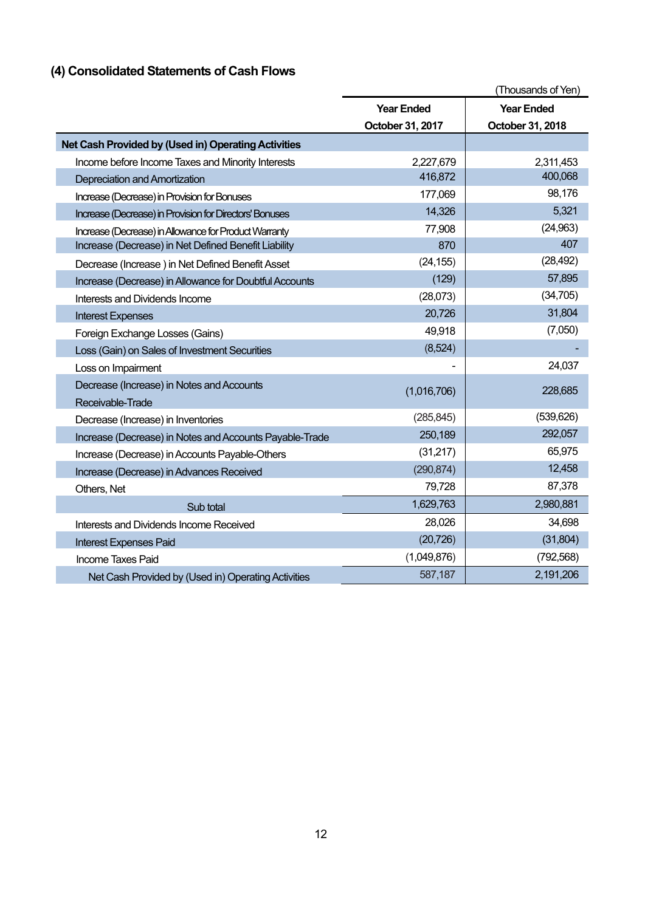# **(4) Consolidated Statements of Cash Flows**

|                                                         |                   | (Thousands of Yen) |
|---------------------------------------------------------|-------------------|--------------------|
|                                                         | <b>Year Ended</b> | <b>Year Ended</b>  |
|                                                         | October 31, 2017  | October 31, 2018   |
| Net Cash Provided by (Used in) Operating Activities     |                   |                    |
| Income before Income Taxes and Minority Interests       | 2,227,679         | 2,311,453          |
| Depreciation and Amortization                           | 416,872           | 400,068            |
| Increase (Decrease) in Provision for Bonuses            | 177,069           | 98,176             |
| Increase (Decrease) in Provision for Directors' Bonuses | 14,326            | 5,321              |
| Increase (Decrease) in Allowance for Product Warranty   | 77,908            | (24, 963)          |
| Increase (Decrease) in Net Defined Benefit Liability    | 870               | 407                |
| Decrease (Increase) in Net Defined Benefit Asset        | (24, 155)         | (28, 492)          |
| Increase (Decrease) in Allowance for Doubtful Accounts  | (129)             | 57,895             |
| Interests and Dividends Income                          | (28,073)          | (34, 705)          |
| <b>Interest Expenses</b>                                | 20,726            | 31,804             |
| Foreign Exchange Losses (Gains)                         | 49,918            | (7,050)            |
| Loss (Gain) on Sales of Investment Securities           | (8,524)           |                    |
| Loss on Impairment                                      |                   | 24,037             |
| Decrease (Increase) in Notes and Accounts               | (1,016,706)       | 228,685            |
| Receivable-Trade                                        |                   |                    |
| Decrease (Increase) in Inventories                      | (285, 845)        | (539, 626)         |
| Increase (Decrease) in Notes and Accounts Payable-Trade | 250,189           | 292,057            |
| Increase (Decrease) in Accounts Payable-Others          | (31,217)          | 65,975             |
| Increase (Decrease) in Advances Received                | (290, 874)        | 12,458             |
| Others, Net                                             | 79,728            | 87,378             |
| Sub total                                               | 1,629,763         | 2,980,881          |
| Interests and Dividends Income Received                 | 28,026            | 34,698             |
| <b>Interest Expenses Paid</b>                           | (20, 726)         | (31, 804)          |
| <b>Income Taxes Paid</b>                                | (1,049,876)       | (792, 568)         |
| Net Cash Provided by (Used in) Operating Activities     | 587,187           | 2,191,206          |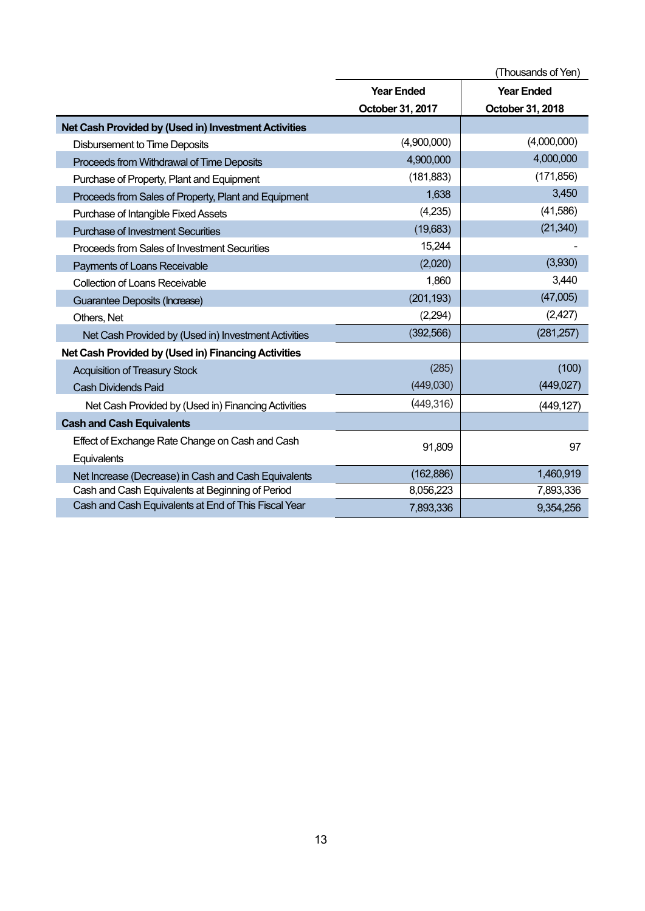|                                                      | (Thousands of Yen) |                   |  |  |
|------------------------------------------------------|--------------------|-------------------|--|--|
|                                                      | <b>Year Ended</b>  | <b>Year Ended</b> |  |  |
|                                                      | October 31, 2017   | October 31, 2018  |  |  |
| Net Cash Provided by (Used in) Investment Activities |                    |                   |  |  |
| <b>Disbursement to Time Deposits</b>                 | (4,900,000)        | (4,000,000)       |  |  |
| Proceeds from Withdrawal of Time Deposits            | 4,900,000          | 4,000,000         |  |  |
| Purchase of Property, Plant and Equipment            | (181, 883)         | (171, 856)        |  |  |
| Proceeds from Sales of Property, Plant and Equipment | 1,638              | 3,450             |  |  |
| Purchase of Intangible Fixed Assets                  | (4,235)            | (41,586)          |  |  |
| <b>Purchase of Investment Securities</b>             | (19,683)           | (21, 340)         |  |  |
| Proceeds from Sales of Investment Securities         | 15,244             |                   |  |  |
| Payments of Loans Receivable                         | (2,020)            | (3,930)           |  |  |
| Collection of Loans Receivable                       | 1,860              | 3,440             |  |  |
| Guarantee Deposits (Increase)                        | (201, 193)         | (47,005)          |  |  |
| Others, Net                                          | (2,294)            | (2,427)           |  |  |
| Net Cash Provided by (Used in) Investment Activities | (392, 566)         | (281, 257)        |  |  |
| Net Cash Provided by (Used in) Financing Activities  |                    |                   |  |  |
| <b>Acquisition of Treasury Stock</b>                 | (285)              | (100)             |  |  |
| <b>Cash Dividends Paid</b>                           | (449,030)          | (449, 027)        |  |  |
| Net Cash Provided by (Used in) Financing Activities  | (449, 316)         | (449, 127)        |  |  |
| <b>Cash and Cash Equivalents</b>                     |                    |                   |  |  |
| Effect of Exchange Rate Change on Cash and Cash      | 91,809             | 97                |  |  |
| Equivalents                                          |                    |                   |  |  |
| Net Increase (Decrease) in Cash and Cash Equivalents | (162, 886)         | 1,460,919         |  |  |
| Cash and Cash Equivalents at Beginning of Period     | 8,056,223          | 7,893,336         |  |  |
| Cash and Cash Equivalents at End of This Fiscal Year | 7,893,336          | 9,354,256         |  |  |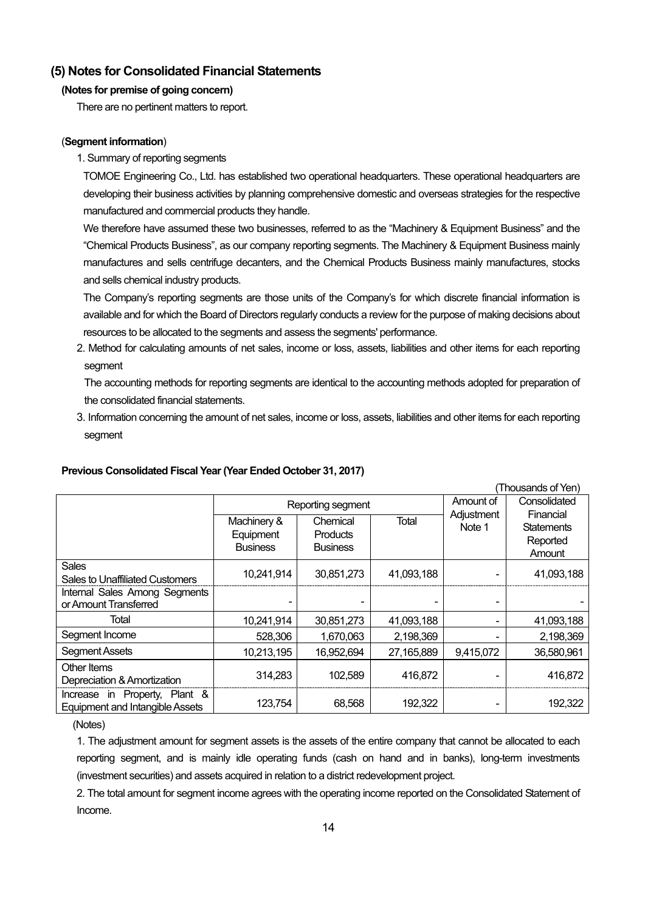# **(5) Notes for Consolidated Financial Statements**

### **(Notes for premise of going concern)**

There are no pertinent matters to report.

### (**Segment information**)

1. Summary of reporting segments

TOMOE Engineering Co., Ltd. has established two operational headquarters. These operational headquarters are developing their business activities by planning comprehensive domestic and overseas strategies for the respective manufactured and commercial products they handle.

We therefore have assumed these two businesses, referred to as the "Machinery & Equipment Business" and the "Chemical Products Business", as our company reporting segments. The Machinery & Equipment Business mainly manufactures and sells centrifuge decanters, and the Chemical Products Business mainly manufactures, stocks and sells chemical industry products.

The Company's reporting segments are those units of the Company's for which discrete financial information is available and for which the Board of Directors regularly conducts a review for the purpose of making decisions about resources to be allocated to the segments and assess the segments' performance.

2. Method for calculating amounts of net sales, income or loss, assets, liabilities and other items for each reporting segment

The accounting methods for reporting segments are identical to the accounting methods adopted for preparation of the consolidated financial statements.

3. Information concerning the amount of net sales, income or loss, assets, liabilities and other items for each reporting segment

|                                                                         |                                             |                                                |            |                      | (Thousands of Yen)                                   |
|-------------------------------------------------------------------------|---------------------------------------------|------------------------------------------------|------------|----------------------|------------------------------------------------------|
|                                                                         |                                             | Reporting segment                              | Amount of  | Consolidated         |                                                      |
|                                                                         | Machinery &<br>Equipment<br><b>Business</b> | Chemical<br><b>Products</b><br><b>Business</b> | Total      | Adjustment<br>Note 1 | Financial<br><b>Statements</b><br>Reported<br>Amount |
| <b>Sales</b><br><b>Sales to Unaffiliated Customers</b>                  | 10,241,914                                  | 30,851,273                                     | 41,093,188 |                      | 41,093,188                                           |
| Internal Sales Among Segments<br>or Amount Transferred                  |                                             |                                                |            |                      |                                                      |
| Total                                                                   | 10,241,914                                  | 30,851,273                                     | 41,093,188 |                      | 41,093,188                                           |
| Segment Income                                                          | 528,306                                     | 1,670,063                                      | 2,198,369  |                      | 2,198,369                                            |
| <b>Segment Assets</b>                                                   | 10,213,195                                  | 16,952,694                                     | 27,165,889 | 9,415,072            | 36,580,961                                           |
| Other Items<br>Depreciation & Amortization                              | 314,283                                     | 102,589                                        | 416,872    |                      | 416,872                                              |
| Increase in Property, Plant &<br><b>Equipment and Intangible Assets</b> | 123,754                                     | 68,568                                         | 192,322    |                      | 192,322                                              |

### **Previous Consolidated Fiscal Year (Year Ended October 31, 2017)**

(Notes)

1. The adjustment amount for segment assets is the assets of the entire company that cannot be allocated to each reporting segment, and is mainly idle operating funds (cash on hand and in banks), long-term investments (investment securities) and assets acquired in relation to a district redevelopment project.

2. The total amount for segment income agrees with the operating income reported on the Consolidated Statement of Income.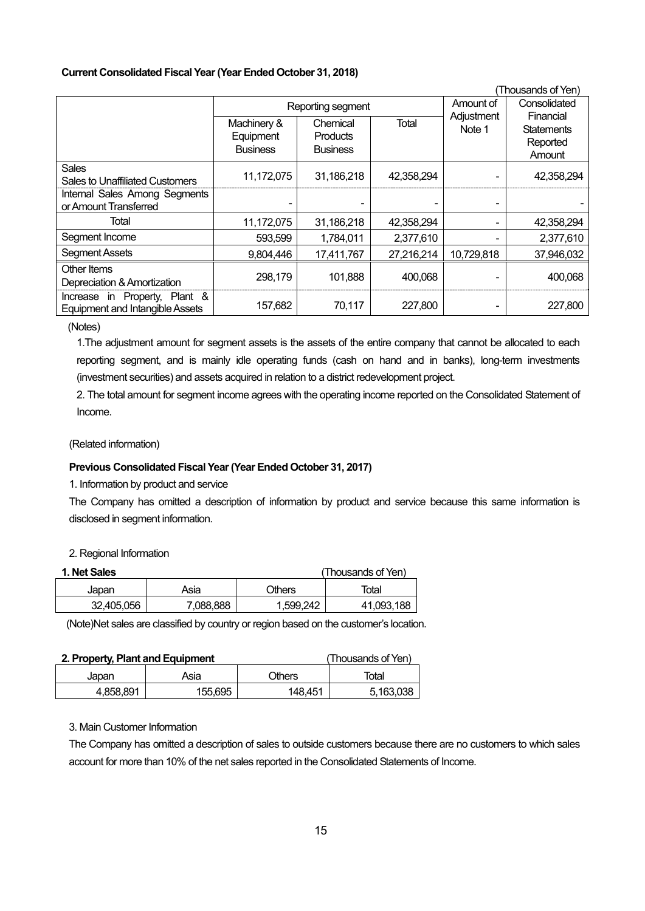### **Current Consolidated Fiscal Year (Year Ended October 31, 2018)**

|                                                                         |                                             |                                                |            |                      | (Thousands of Yen)                                   |
|-------------------------------------------------------------------------|---------------------------------------------|------------------------------------------------|------------|----------------------|------------------------------------------------------|
|                                                                         |                                             | Reporting segment                              | Amount of  | Consolidated         |                                                      |
|                                                                         | Machinery &<br>Equipment<br><b>Business</b> | Chemical<br><b>Products</b><br><b>Business</b> | Total      | Adjustment<br>Note 1 | Financial<br><b>Statements</b><br>Reported<br>Amount |
| <b>Sales</b><br>Sales to Unaffiliated Customers                         | 11,172,075                                  | 31,186,218                                     | 42,358,294 |                      | 42,358,294                                           |
| Internal Sales Among Segments<br>or Amount Transferred                  |                                             |                                                |            |                      |                                                      |
| Total                                                                   | 11,172,075                                  | 31,186,218                                     | 42,358,294 |                      | 42,358,294                                           |
| Segment Income                                                          | 593,599                                     | 1,784,011                                      | 2,377,610  |                      | 2,377,610                                            |
| <b>Segment Assets</b>                                                   | 9,804,446                                   | 17,411,767                                     | 27,216,214 | 10,729,818           | 37,946,032                                           |
| Other Items<br>Depreciation & Amortization                              | 298,179                                     | 101,888                                        | 400,068    |                      | 400,068                                              |
| Increase in Property, Plant &<br><b>Equipment and Intangible Assets</b> | 157,682                                     | 70,117                                         | 227,800    |                      | 227,800                                              |

(Notes)

1.The adjustment amount for segment assets is the assets of the entire company that cannot be allocated to each reporting segment, and is mainly idle operating funds (cash on hand and in banks), long-term investments (investment securities) and assets acquired in relation to a district redevelopment project.

2. The total amount for segment income agrees with the operating income reported on the Consolidated Statement of Income.

(Related information)

### **Previous Consolidated Fiscal Year (Year Ended October 31, 2017)**

1. Information by product and service

The Company has omitted a description of information by product and service because this same information is disclosed in segment information.

### 2. Regional Information

| 1. Net Sales |           |           | (Thousands of Yen) |
|--------------|-----------|-----------|--------------------|
| Japan        | Asia      | Others    | Total              |
| 32.405.056   | 7.088.888 | 1,599,242 | 41,093,188         |

(Note)Net sales are classified by country or region based on the customer's location.

| 2. Property, Plant and Equipment |         |         | (Thousands of Yen) |
|----------------------------------|---------|---------|--------------------|
| Japan                            | Asia    | Others  | Total              |
| 4.858.891                        | 155.695 | 148.451 | 5,163,038          |

### 3. Main Customer Information

The Company has omitted a description of sales to outside customers because there are no customers to which sales account for more than 10% of the net sales reported in the Consolidated Statements of Income.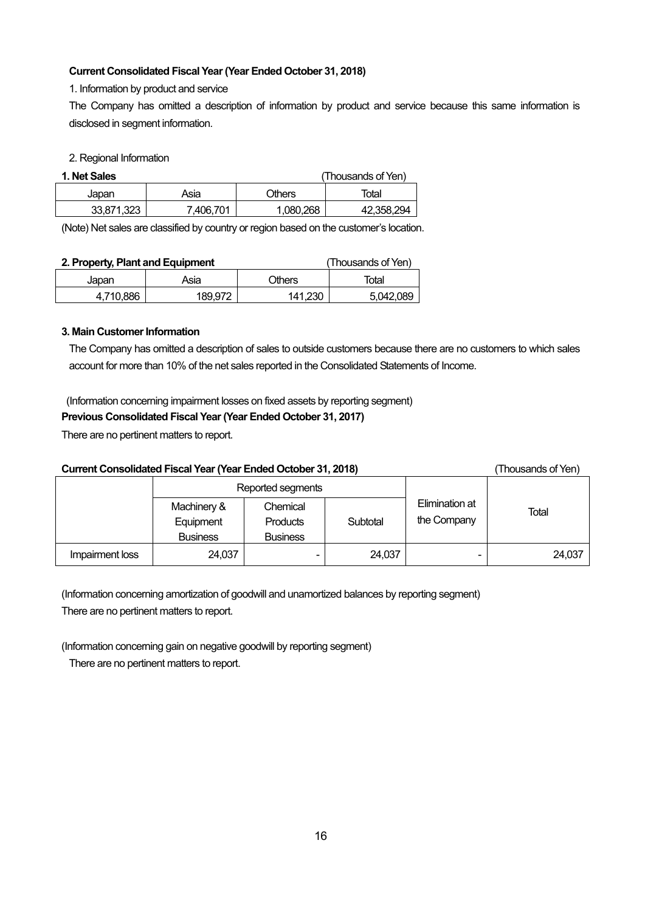### **Current Consolidated Fiscal Year (Year Ended October 31, 2018)**

1. Information by product and service

The Company has omitted a description of information by product and service because this same information is disclosed in segment information.

### 2. Regional Information

| 1. Net Sales |           |               | (Thousands of Yen) |
|--------------|-----------|---------------|--------------------|
| Japan        | Asia      | <b>Others</b> | Total              |
| 33.871.323   | 7.406.701 | 1,080,268     | 42.358.294         |

(Note) Net sales are classified by country or region based on the customer's location.

| 2. Property, Plant and Equipment |         |               | (Thousands of Yen) |
|----------------------------------|---------|---------------|--------------------|
| Japan                            | Asia    | <b>Others</b> | Total              |
| 4.710.886                        | 189.972 | 141.230       | 5.042.089          |

### **3. Main Customer Information**

The Company has omitted a description of sales to outside customers because there are no customers to which sales account for more than 10% of the net sales reported in the Consolidated Statements of Income.

(Information concerning impairment losses on fixed assets by reporting segment)

### **Previous Consolidated Fiscal Year (Year Ended October 31, 2017)**

There are no pertinent matters to report.

| <b>Current Consolidated Fiscal Year (Year Ended October 31, 2018)</b><br>Thousands of Yen) |                                             |                                                |          |                               |        |
|--------------------------------------------------------------------------------------------|---------------------------------------------|------------------------------------------------|----------|-------------------------------|--------|
|                                                                                            |                                             | Reported segments                              |          |                               |        |
|                                                                                            | Machinery &<br>Equipment<br><b>Business</b> | Chemical<br><b>Products</b><br><b>Business</b> | Subtotal | Elimination at<br>the Company | Total  |
| Impairment loss                                                                            | 24,037                                      | $\overline{\phantom{0}}$                       | 24,037   |                               | 24,037 |

(Information concerning amortization of goodwill and unamortized balances by reporting segment) There are no pertinent matters to report.

(Information concerning gain on negative goodwill by reporting segment)

There are no pertinent matters to report.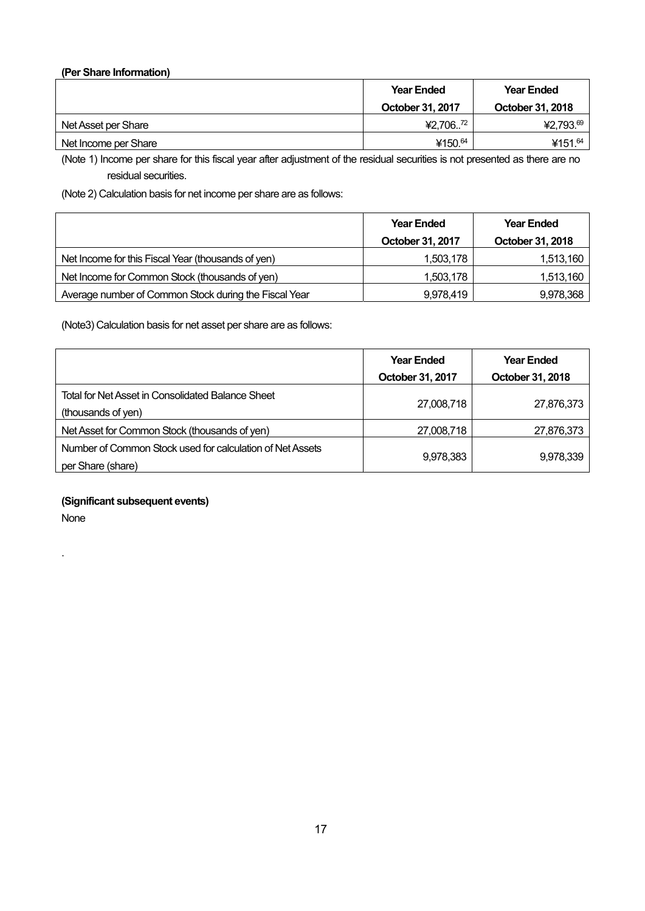### **(Per Share Information)**

|                      | <b>Year Ended</b> | <b>Year Ended</b>   |
|----------------------|-------------------|---------------------|
|                      | October 31, 2017  | October 31, 2018    |
| Net Asset per Share  | 72<br>¥2,706      | ¥2,793.69           |
| Net Income per Share | ¥150.64           | ¥151. <sup>64</sup> |

(Note 1) Income per share for this fiscal year after adjustment of the residual securities is not presented as there are no residual securities.

(Note 2) Calculation basis for net income per share are as follows:

|                                                       | <b>Year Ended</b> | <b>Year Ended</b> |
|-------------------------------------------------------|-------------------|-------------------|
|                                                       | October 31, 2017  | October 31, 2018  |
| Net Income for this Fiscal Year (thousands of yen)    | 1,503,178         | 1,513,160         |
| Net Income for Common Stock (thousands of yen)        | 1,503,178         | 1,513,160         |
| Average number of Common Stock during the Fiscal Year | 9,978,419         | 9,978,368         |

(Note3) Calculation basis for net asset per share are as follows:

|                                                           | <b>Year Ended</b> | <b>Year Ended</b> |
|-----------------------------------------------------------|-------------------|-------------------|
|                                                           | October 31, 2017  | October 31, 2018  |
| Total for Net Asset in Consolidated Balance Sheet         |                   |                   |
| (thousands of yen)                                        | 27,008,718        | 27,876,373        |
| Net Asset for Common Stock (thousands of yen)             | 27,008,718        | 27,876,373        |
| Number of Common Stock used for calculation of Net Assets |                   |                   |
| per Share (share)                                         | 9,978,383         | 9,978,339         |

**(Significant subsequent events)** 

None

.